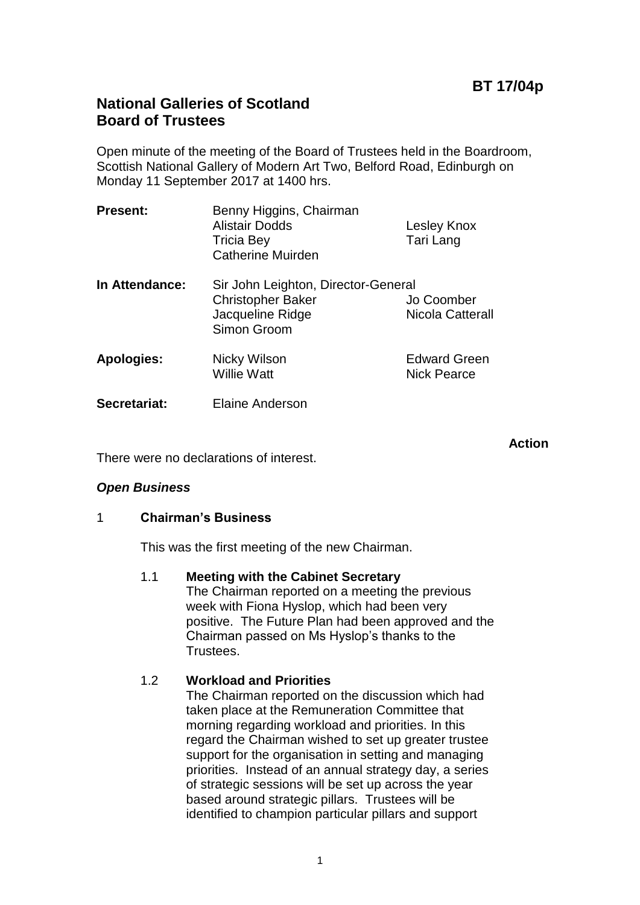# **BT 17/04p**

# **National Galleries of Scotland Board of Trustees**

Open minute of the meeting of the Board of Trustees held in the Boardroom, Scottish National Gallery of Modern Art Two, Belford Road, Edinburgh on Monday 11 September 2017 at 1400 hrs.

| <b>Present:</b>   | Benny Higgins, Chairman<br><b>Alistair Dodds</b><br><b>Tricia Bey</b><br><b>Catherine Muirden</b>  | Lesley Knox<br>Tari Lang                  |
|-------------------|----------------------------------------------------------------------------------------------------|-------------------------------------------|
| In Attendance:    | Sir John Leighton, Director-General<br><b>Christopher Baker</b><br>Jacqueline Ridge<br>Simon Groom | Jo Coomber<br>Nicola Catterall            |
| <b>Apologies:</b> | Nicky Wilson<br><b>Willie Watt</b>                                                                 | <b>Edward Green</b><br><b>Nick Pearce</b> |
| Secretariat:      | <b>Elaine Anderson</b>                                                                             |                                           |

**Action**

There were no declarations of interest.

### *Open Business*

### 1 **Chairman's Business**

This was the first meeting of the new Chairman.

### 1.1 **Meeting with the Cabinet Secretary**

The Chairman reported on a meeting the previous week with Fiona Hyslop, which had been very positive. The Future Plan had been approved and the Chairman passed on Ms Hyslop's thanks to the Trustees.

### 1.2 **Workload and Priorities**

The Chairman reported on the discussion which had taken place at the Remuneration Committee that morning regarding workload and priorities. In this regard the Chairman wished to set up greater trustee support for the organisation in setting and managing priorities. Instead of an annual strategy day, a series of strategic sessions will be set up across the year based around strategic pillars. Trustees will be identified to champion particular pillars and support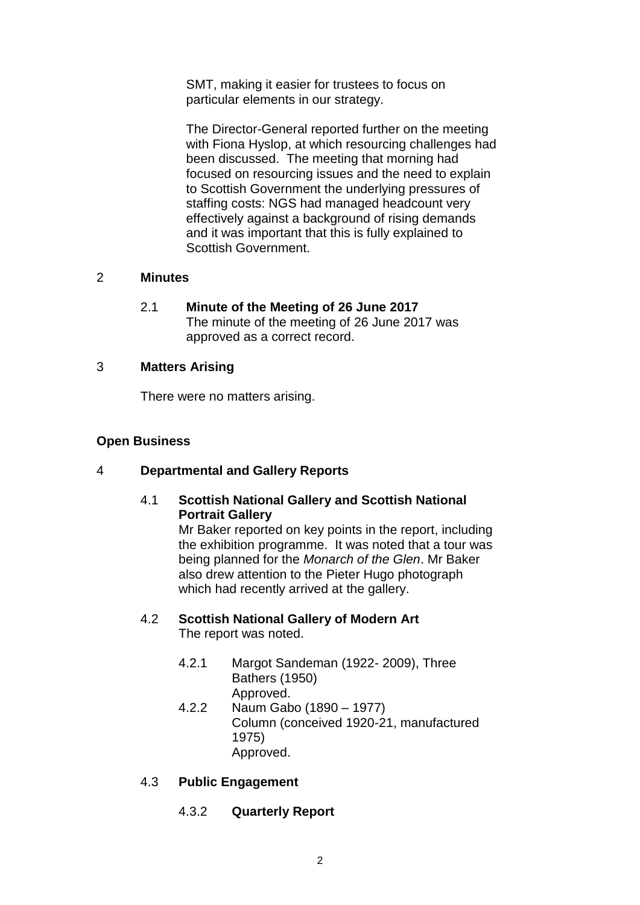SMT, making it easier for trustees to focus on particular elements in our strategy.

The Director-General reported further on the meeting with Fiona Hyslop, at which resourcing challenges had been discussed. The meeting that morning had focused on resourcing issues and the need to explain to Scottish Government the underlying pressures of staffing costs: NGS had managed headcount very effectively against a background of rising demands and it was important that this is fully explained to Scottish Government.

### 2 **Minutes**

2.1 **Minute of the Meeting of 26 June 2017** The minute of the meeting of 26 June 2017 was approved as a correct record.

## 3 **Matters Arising**

There were no matters arising.

# **Open Business**

# 4 **Departmental and Gallery Reports**

## 4.1 **Scottish National Gallery and Scottish National Portrait Gallery**

Mr Baker reported on key points in the report, including the exhibition programme. It was noted that a tour was being planned for the *Monarch of the Glen*. Mr Baker also drew attention to the Pieter Hugo photograph which had recently arrived at the gallery.

### 4.2 **Scottish National Gallery of Modern Art** The report was noted.

- 4.2.1 Margot Sandeman (1922- 2009), Three Bathers (1950) Approved.
- 4.2.2 Naum Gabo (1890 1977) Column (conceived 1920-21, manufactured 1975) Approved.

# 4.3 **Public Engagement**

4.3.2 **Quarterly Report**